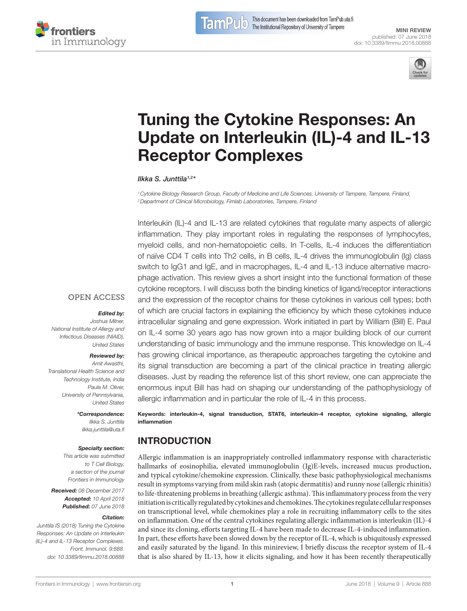

[Mini Review](https://www.frontiersin.org/Immunology/editorialboard) [published: 07 June 2018](https://www.frontiersin.org/Immunology/editorialboard) [doi: 10.3389/fimmu.2018.00888](https://doi.org/10.3389/fimmu.2018.00888)



# [Tuning the Cytokine Responses: An](https://www.frontiersin.org/Journal/10.3389/fimmu.2018.00888/full)  [Update on interleukin \(iL\)-4 and iL-13](https://www.frontiersin.org/Journal/10.3389/fimmu.2018.00888/full)  [Receptor Complexes](https://www.frontiersin.org/Journal/10.3389/fimmu.2018.00888/full)

*[Ilkka S. Junttila1](https://loop.frontiersin.org/people/505256),2\**

*1Cytokine Biology Research Group, Faculty of Medicine and Life Sciences, University of Tampere, Tampere, Finland, 2Department of Clinical Microbiology, Fimlab Laboratories, Tampere, Finland*

Interleukin (IL)-4 and IL-13 are related cytokines that regulate many aspects of allergic inflammation. They play important roles in regulating the responses of lymphocytes, myeloid cells, and non-hematopoietic cells. In T-cells, IL-4 induces the differentiation of naïve CD4 T cells into Th2 cells, in B cells, IL-4 drives the immunoglobulin (Ig) class switch to IgG1 and IgE, and in macrophages, IL-4 and IL-13 induce alternative macrophage activation. This review gives a short insight into the functional formation of these cytokine receptors. I will discuss both the binding kinetics of ligand/receptor interactions and the expression of the receptor chains for these cytokines in various cell types; both of which are crucial factors in explaining the efficiency by which these cytokines induce intracellular signaling and gene expression. Work initiated in part by William (Bill) E. Paul on IL-4 some 30 years ago has now grown into a major building block of our current understanding of basic immunology and the immune response. This knowledge on IL-4 has growing clinical importance, as therapeutic approaches targeting the cytokine and its signal transduction are becoming a part of the clinical practice in treating allergic diseases. Just by reading the reference list of this short review, one can appreciate the enormous input Bill has had on shaping our understanding of the pathophysiology of allergic inflammation and in particular the role of IL-4 in this process.

Keywords: interleukin-4, signal transduction, STAT6, interleukin-4 receptor, cytokine signaling, allergic inflammation

# INTRODUCTION

Allergic inflammation is an inappropriately controlled inflammatory response with characteristic hallmarks of eosinophilia, elevated immunoglobulin (Ig)E-levels, increased mucus production, and typical cytokine/chemokine expression. Clinically, these basic pathophysiological mechanisms result in symptoms varying from mild skin rash (atopic dermatitis) and runny nose (allergic rhinitis) to life-threatening problems in breathing (allergic asthma). This inflammatory process from the very initiation is critically regulated by cytokines and chemokines. The cytokines regulate cellular responses on transcriptional level, while chemokines play a role in recruiting inflammatory cells to the sites on inflammation. One of the central cytokines regulating allergic inflammation is interleukin (IL)-4 and since its cloning, efforts targeting IL-4 have been made to decrease IL-4-induced inflammation. In part, these efforts have been slowed down by the receptor of IL-4, which is ubiquitously expressed and easily saturated by the ligand. In this minireview, I briefly discuss the receptor system of IL-4 that is also shared by IL-13, how it elicits signaling, and how it has been recently therapeutically

#### **OPEN ACCESS**

#### *Edited by:*

*Joshua Milner, National Institute of Allergy and Infectious Diseases (NIAID), United States*

#### *Reviewed by:*

*Amit Awasthi, Translational Health Science and Technology Institute, India Paula M. Oliver, University of Pennsylvania, United States*

#### *\*Correspondence:*

*Ilkka S. Junttila [ilkka.junttila@uta.fi](mailto:ilkka.junttila@uta.fi)*

#### *Specialty section:*

*This article was submitted to T Cell Biology, a section of the journal Frontiers in Immunology*

*Received: 08 December 2017 Accepted: 10 April 2018 Published: 07 June 2018*

#### *Citation:*

*Junttila IS (2018) Tuning the Cytokine Responses: An Update on Interleukin (IL)-4 and IL-13 Receptor Complexes. Front. Immunol. 9:888. doi: [10.3389/fimmu.2018.00888](https://doi.org/10.3389/fimmu.2018.00888)*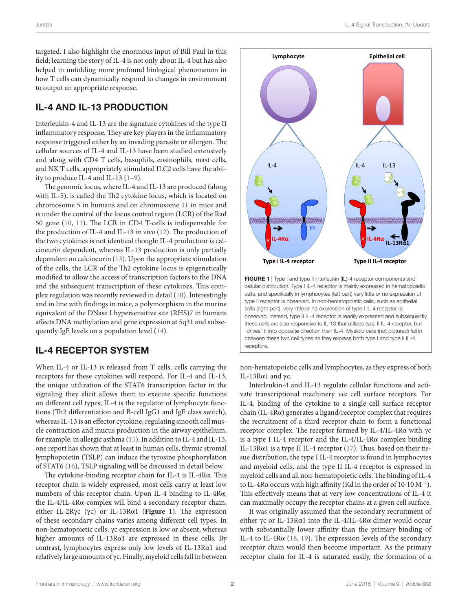targeted. I also highlight the enormous input of Bill Paul in this field; learning the story of IL-4 is not only about IL-4 but has also helped in unfolding more profound biological phenomenon in how T cells can dynamically respond to changes in environment to output an appropriate response.

### IL-4 AND IL-13 PRODUCTION

Interleukin-4 and IL-13 are the signature cytokines of the type II inflammatory response. They are key players in the inflammatory response triggered either by an invading parasite or allergen. The cellular sources of IL-4 and IL-13 have been studied extensively and along with CD4 T cells, basophils, eosinophils, mast cells, and NK T cells, appropriately stimulated ILC2 cells have the ability to produce IL-4 and IL-13 [\(1–](#page-4-0)[9](#page-4-1)).

The genomic locus, where IL-4 and IL-13 are produced (along with IL-5), is called the Th2 cytokine locus, which is located on chromosome 5 in humans and on chromosome 11 in mice and is under the control of the locus control region (LCR) of the Rad 50 gene [\(10](#page-4-2), [11\)](#page-4-3). The LCR in CD4 T-cells is indispensable for the production of IL-4 and IL-13 *in vivo* [\(12](#page-4-4)). The production of the two cytokines is not identical though: IL-4 production is calcineurin dependent, whereas IL-13 production is only partially dependent on calcineurin ([13\)](#page-4-5). Upon the appropriate stimulation of the cells, the LCR of the Th2 cytokine locus is epigenetically modified to allow the access of transcription factors to the DNA and the subsequent transcription of these cytokines. This complex regulation was recently reviewed in detail ([10\)](#page-4-2). Interestingly and in line with findings in mice, a polymorphism in the murine equivalent of the DNase I hypersensitive site (RHS)7 in humans affects DNA methylation and gene expression at 5q31 and subsequently IgE levels on a population level ([14\)](#page-4-6).

# IL-4 RECEPTOR SYSTEM

When IL-4 or IL-13 is released from T cells, cells carrying the receptors for these cytokines will respond. For IL-4 and IL-13, the unique utilization of the STAT6 transcription factor in the signaling they elicit allows them to execute specific functions on different cell types; IL-4 is the regulator of lymphocyte functions (Th2 differentiation and B-cell IgG1 and IgE class switch), whereas IL-13 is an effector cytokine, regulating smooth cell muscle contraction and mucus production in the airway epithelium, for example, in allergic asthma ([15\)](#page-4-7). In addition to IL-4 and IL-13, one report has shown that at least in human cells, thymic stromal lymphopoietin (TSLP) can induce the tyrosine phosphorylation of STAT6 [\(16\)](#page-4-8), TSLP signaling will be discussed in detail below.

The cytokine-binding receptor chain for IL-4 is IL-4Rα. This receptor chain is widely expressed, most cells carry at least low numbers of this receptor chain. Upon IL-4 binding to IL-4Rα, the IL-4/IL-4Rα-complex will bind a secondary receptor chain, either IL-2Rγc (γc) or IL-13Rα1 (**[Figure 1](#page-1-0)**). The expression of these secondary chains varies among different cell types. In non-hematopoietic cells, γc expression is low or absent, whereas higher amounts of IL-13Rα1 are expressed in these cells. By contrast, lymphocytes express only low levels of IL-13Rα1 and relatively large amounts of γc. Finally, myeloid cells fall in between



<span id="page-1-0"></span>these cells are also responsive to IL-13 that utilizes type II IL-4 receptor, but "drives" it into opposite direction than IL-4. Myeloid cells (not pictured) fall in between these two cell types as they express both type I and type II IL-4 receptors.

non-hematopoietic cells and lymphocytes, as they express of both IL-13Rα1 and γc.

Interleukin-4 and IL-13 regulate cellular functions and activate transcriptional machinery *via* cell surface receptors. For IL-4, binding of the cytokine to a single cell surface receptor chain (IL-4Rα) generates a ligand/receptor complex that requires the recruitment of a third receptor chain to form a functional receptor complex. The receptor formed by IL-4/IL-4Rα with γc is a type I IL-4 receptor and the IL-4/IL-4R $\alpha$  complex binding IL-13Rα1 is a type II IL-4 receptor ([17\)](#page-5-0). Thus, based on their tissue distribution, the type I IL-4 receptor is found in lymphocytes and myeloid cells, and the type II IL-4 receptor is expressed in myeloid cells and all non-hematopoietic cells. The binding of IL-4 to IL-4Rα occurs with high affinity (Kd in the order of  $10·10 M^{-1}$ ). This effectively means that at very low concentrations of IL-4 it can maximally occupy the receptor chains at a given cell surface.

It was originally assumed that the secondary recruitment of either γc or IL-13Rα1 into the IL-4/IL-4Rα dimer would occur with substantially lower affinity than the primary binding of IL-4 to IL-4Rα [\(18,](#page-5-1) [19\)](#page-5-2). The expression levels of the secondary receptor chain would then become important. As the primary receptor chain for IL-4 is saturated easily, the formation of a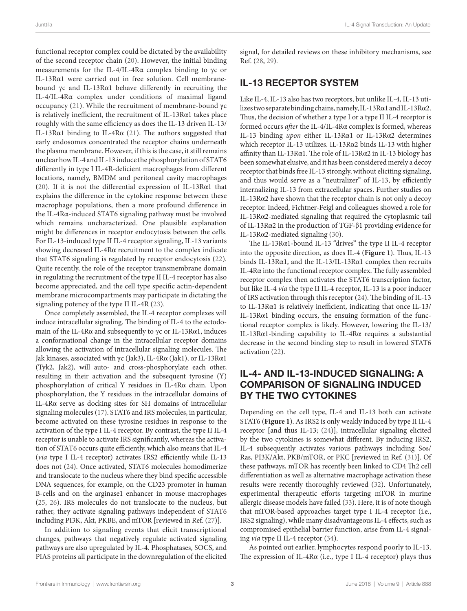functional receptor complex could be dictated by the availability of the second receptor chain [\(20\)](#page-5-3). However, the initial binding measurements for the IL-4/IL-4Rα complex binding to γc or IL-13Rα1 were carried out in free solution. Cell membranebound γc and IL-13Rα1 behave differently in recruiting the IL-4/IL-4Rα complex under conditions of maximal ligand occupancy [\(21\)](#page-5-4). While the recruitment of membrane-bound γc is relatively inefficient, the recruitment of IL-13R $\alpha$ 1 takes place roughly with the same efficiency as does the IL-13 driven IL-13/ IL-13Rα1 binding to IL-4Rα ([21](#page-5-4)). The authors suggested that early endosomes concentrated the receptor chains underneath the plasma membrane. However, if this is the case, it still remains unclear how IL-4 and IL-13 induce the phosphorylation of STAT6 differently in type I IL-4R-deficient macrophages from different locations, namely, BMDM and peritoneal cavity macrophages ([20\)](#page-5-3). If it is not the differential expression of IL-13Rα1 that explains the difference in the cytokine response between these macrophage populations, then a more profound difference in the IL-4Rα-induced STAT6 signaling pathway must be involved which remains uncharacterized. One plausible explanation might be differences in receptor endocytosis between the cells. For IL-13-induced type II IL-4 receptor signaling, IL-13 variants showing decreased IL-4Rα recruitment to the complex indicate that STAT6 signaling is regulated by receptor endocytosis [\(22\)](#page-5-5). Quite recently, the role of the receptor transmembrane domain in regulating the recruitment of the type II IL-4 receptor has also become appreciated, and the cell type specific actin-dependent membrane microcompartments may participate in dictating the signaling potency of the type II IL-4R [\(23\)](#page-5-6).

Once completely assembled, the IL-4 receptor complexes will induce intracellular signaling. The binding of IL-4 to the ectodomain of the IL-4R $\alpha$  and subsequently to  $\gamma c$  or IL-13R $\alpha$ 1, induces a conformational change in the intracellular receptor domains allowing the activation of intracellular signaling molecules. The Jak kinases, associated with γc (Jak3), IL-4Rα (Jak1), or IL-13Rα1 (Tyk2, Jak2), will auto- and cross-phosphorylate each other, resulting in their activation and the subsequent tyrosine (Y) phosphorylation of critical Y residues in IL-4Rα chain. Upon phosphorylation, the Y residues in the intracellular domains of IL-4Rα serve as docking sites for SH domains of intracellular signaling molecules [\(17](#page-5-0)). STAT6 and IRS molecules, in particular, become activated on these tyrosine residues in response to the activation of the type I IL-4 receptor. By contrast, the type II IL-4 receptor is unable to activate IRS significantly, whereas the activation of STAT6 occurs quite efficiently, which also means that IL-4 (*via* type I IL-4 receptor) activates IRS2 efficiently while IL-13 does not ([24\)](#page-5-7). Once activated, STAT6 molecules homodimerize and translocate to the nucleus where they bind specific accessible DNA sequences, for example, on the CD23 promoter in human B-cells and on the arginase1 enhancer in mouse macrophages ([25,](#page-5-8) [26\)](#page-5-9). IRS molecules do not translocate to the nucleus, but rather, they activate signaling pathways independent of STAT6 including PI3K, Akt, PKBE, and mTOR [reviewed in Ref. ([27\)](#page-5-10)].

In addition to signaling events that elicit transcriptional changes, pathways that negatively regulate activated signaling pathways are also upregulated by IL-4. Phosphatases, SOCS, and PIAS proteins all participate in the downregulation of the elicited signal, for detailed reviews on these inhibitory mechanisms, see Ref. [\(28,](#page-5-11) [29](#page-5-12)).

#### IL-13 RECEPTOR SYSTEM

Like IL-4, IL-13 also has two receptors, but unlike IL-4, IL-13 utilizes two separate binding chains, namely, IL-13Rα1 and IL-13Rα2. Thus, the decision of whether a type I or a type II IL-4 receptor is formed occurs *after* the IL-4/IL-4Rα complex is formed, whereas IL-13 binding *upon* either IL-13Rα1 or IL-13Rα2 determines which receptor IL-13 utilizes. IL-13Rα2 binds IL-13 with higher affinity than IL-13Rα1. The role of IL-13Rα2 in IL-13 biology has been somewhat elusive, and it has been considered merely a decoy receptor that binds free IL-13 strongly, without eliciting signaling, and thus would serve as a "neutralizer" of IL-13, by efficiently internalizing IL-13 from extracellular spaces. Further studies on IL-13Rα2 have shown that the receptor chain is not only a decoy receptor. Indeed, Fichtner-Feigl and colleagues showed a role for IL-13Rα2-mediated signaling that required the cytoplasmic tail of IL-13Rα2 in the production of TGF-β1 providing evidence for IL-13Rα2-mediated signaling [\(30](#page-5-13)).

The IL-13Rα1-bound IL-13 "drives" the type II IL-4 receptor into the opposite direction, as does IL-4 (**[Figure 1](#page-1-0)**). Thus, IL-13 binds IL-13Rα1, and the IL-13/IL-13Rα1 complex then recruits IL-4Rα into the functional receptor complex. The fully assembled receptor complex then activates the STAT6 transcription factor, but like IL-4 *via* the type II IL-4 receptor, IL-13 is a poor inducer of IRS activation through this receptor ([24\)](#page-5-7). The binding of IL-13 to IL-13Rα1 is relatively inefficient, indicating that once IL-13/ IL-13Rα1 binding occurs, the ensuing formation of the functional receptor complex is likely. However, lowering the IL-13/ IL-13Rα1-binding capability to IL-4Rα requires a substantial decrease in the second binding step to result in lowered STAT6 activation [\(22](#page-5-5)).

### IL-4- AND IL-13-INDUCED SIGNALING: A COMPARISON OF SIGNALING INDUCED BY THE TWO CYTOKINES

Depending on the cell type, IL-4 and IL-13 both can activate STAT6 (**[Figure 1](#page-1-0)**). As IRS2 is only weakly induced by type II IL-4 receptor [and thus IL-13; ([24\)](#page-5-7)], intracellular signaling elicited by the two cytokines is somewhat different. By inducing IRS2, IL-4 subsequently activates various pathways including Sos/ Ras, PI3K/Akt, PKB/mTOR, or PKC [reviewed in Ref. ([31\)](#page-5-14)]. Of these pathways, mTOR has recently been linked to CD4 Th2 cell differentiation as well as alternative macrophage activation these results were recently thoroughly reviewed ([32\)](#page-5-15). Unfortunately, experimental therapeutic efforts targeting mTOR in murine allergic disease models have failed ([33\)](#page-5-16). Here, it is of note though that mTOR-based approaches target type I IL-4 receptor (i.e., IRS2 signaling), while many disadvantageous IL-4 effects, such as compromised epithelial barrier function, arise from IL-4 signaling *via* type II IL-4 receptor ([34\)](#page-5-17).

As pointed out earlier, lymphocytes respond poorly to IL-13. The expression of IL-4R $\alpha$  (i.e., type I IL-4 receptor) plays thus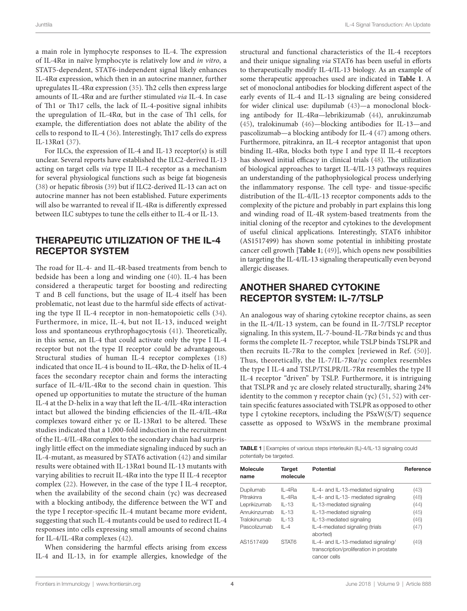a main role in lymphocyte responses to IL-4. The expression of IL-4Rα in naïve lymphocyte is relatively low and *in vitro*, a STAT5-dependent, STAT6-independent signal likely enhances IL-4Rα expression, which then in an autocrine manner, further upregulates IL-4Rα expression ([35](#page-5-25)). Th2 cells then express large amounts of IL-4Rα and are further stimulated *via* IL-4. In case of Th1 or Th17 cells, the lack of IL-4-positive signal inhibits the upregulation of IL-4Rα, but in the case of Th1 cells, for example, the differentiation does not ablate the ability of the cells to respond to IL-4 [\(36\)](#page-5-26). Interestingly, Th17 cells do express IL-13Rα1 ([37](#page-5-27)).

For ILCs, the expression of IL-4 and IL-13 receptor(s) is still unclear. Several reports have established the ILC2-derived IL-13 acting on target cells *via* type II IL-4 receptor as a mechanism for several physiological functions such as beige fat biogenesis ([38\)](#page-5-28) or hepatic fibrosis ([39\)](#page-5-29) but if ILC2-derived IL-13 can act on autocrine manner has not been established. Future experiments will also be warranted to reveal if IL-4Rα is differently expressed between ILC subtypes to tune the cells either to IL-4 or IL-13.

#### THERAPEUTIC UTILIZATION OF THE IL-4 RECEPTOR SYSTEM

The road for IL-4- and IL-4R-based treatments from bench to bedside has been a long and winding one ([40](#page-5-30)). IL-4 has been considered a therapeutic target for boosting and redirecting T and B cell functions, but the usage of IL-4 itself has been problematic, not least due to the harmful side effects of activating the type II IL-4 receptor in non-hematopoietic cells [\(34\)](#page-5-17). Furthermore, in mice, IL-4, but not IL-13, induced weight loss and spontaneous erythrophagocytosis ([41](#page-5-31)). Theoretically, in this sense, an IL-4 that could activate only the type I IL-4 receptor but not the type II receptor could be advantageous. Structural studies of human IL-4 receptor complexes ([18\)](#page-5-1) indicated that once IL-4 is bound to IL-4Rα, the D-helix of IL-4 faces the secondary receptor chain and forms the interacting surface of IL-4/IL-4Rα to the second chain in question. This opened up opportunities to mutate the structure of the human IL-4 at the D-helix in a way that left the IL-4/IL-4Rα interaction intact but allowed the binding efficiencies of the IL-4/IL-4Rα complexes toward either γc or IL-13Rα1 to be altered. These studies indicated that a 1,000-fold induction in the recruitment of the IL-4/IL-4Rα complex to the secondary chain had surprisingly little effect on the immediate signaling induced by such an IL-4-mutant, as measured by STAT6 activation ([42](#page-5-32)) and similar results were obtained with IL-13Rα1 bound IL-13 mutants with varying abilities to recruit IL-4Rα into the type II IL-4 receptor complex [\(22](#page-5-5)). However, in the case of the type I IL-4 receptor, when the availability of the second chain (γc) was decreased with a blocking antibody, the difference between the WT and the type I receptor-specific IL-4 mutant became more evident, suggesting that such IL-4 mutants could be used to redirect IL-4 responses into cells expressing small amounts of second chains for IL-4/IL-4Rα complexes ([42\)](#page-5-32).

When considering the harmful effects arising from excess IL-4 and IL-13, in for example allergies, knowledge of the

structural and functional characteristics of the IL-4 receptors and their unique signaling *via* STAT6 has been useful in efforts to therapeutically modify IL-4/IL-13 biology. As an example of some therapeutic approaches used are indicated in **[Table 1](#page-3-0)**. A set of monoclonal antibodies for blocking different aspect of the early events of IL-4 and IL-13 signaling are being considered for wider clinical use: dupilumab ([43\)](#page-5-18)—a monoclonal blocking antibody for IL-4Rα—lebrikizumab ([44\)](#page-5-20), anrukinzumab [\(45\)](#page-5-21), tralokinumab [\(46](#page-5-22))—blocking antibodies for IL-13—and pascolizumab—a blocking antibody for IL-4 ([47\)](#page-5-23) among others. Furthermore, pitrakinra, an IL-4 receptor antagonist that upon binding IL-4Rα, blocks both type I and type II IL-4 receptors has showed initial efficacy in clinical trials [\(48\)](#page-5-19). The utilization of biological approaches to target IL-4/IL-13 pathways requires an understanding of the pathophysiological process underlying the inflammatory response. The cell type- and tissue-specific distribution of the IL-4/IL-13 receptor components adds to the complexity of the picture and probably in part explains this long and winding road of IL-4R system-based treatments from the initial cloning of the receptor and cytokines to the development of useful clinical applications. Interestingly, STAT6 inhibitor (AS1517499) has shown some potential in inhibiting prostate cancer cell growth [**[Table 1](#page-3-0)**; [\(49](#page-5-24))], which opens new possibilities in targeting the IL-4/IL-13 signaling therapeutically even beyond allergic diseases.

### ANOTHER SHARED CYTOKINE RECEPTOR SYSTEM: IL-7/TSLP

An analogous way of sharing cytokine receptor chains, as seen in the IL-4/IL-13 system, can be found in IL-7/TSLP receptor signaling. In this system, IL-7-bound-IL-7Rα binds γc and thus forms the complete IL-7 receptor, while TSLP binds TSLPR and then recruits IL-7R $\alpha$  to the complex [reviewed in Ref. ([50\)](#page-5-33)]. Thus, theoretically, the IL-7/IL-7 $R\alpha/\gamma c$  complex resembles the type I IL-4 and TSLP/TSLPR/IL-7Rα resembles the type II IL-4 receptor "driven" by TSLP. Furthermore, it is intriguing that TSLPR and γc are closely related structurally, sharing 24% identity to the common γ receptor chain (γc) [\(51,](#page-5-34) [52\)](#page-5-35) with certain specific features associated with TSLPR as opposed to other type I cytokine receptors, including the PSxW(S/T) sequence cassette as opposed to WSxWS in the membrane proximal

<span id="page-3-0"></span>TABLE 1 | Examples of various steps interleukin (IL)-4/IL-13 signaling could potentially be targeted.

| <b>Molecule</b><br>name | <b>Target</b><br>molecule | <b>Potential</b>                                                                               | Reference |
|-------------------------|---------------------------|------------------------------------------------------------------------------------------------|-----------|
| Dupilumab               | $IL - 4Ra$                | IL-4- and IL-13-mediated signaling                                                             | (43)      |
| Pitrakinra              | $IL - 4Ra$                | IL-4- and IL-13- mediated signaling                                                            | (48)      |
| Leprikizumab            | $IL - 13$                 | IL-13-mediated signaling                                                                       | (44)      |
| Anrukinzumab            | $IL - 13$                 | IL-13-mediated signaling                                                                       | (45)      |
| Tralokinumab            | $IL - 13$                 | IL-13-mediated signaling                                                                       | (46)      |
| Pascolizumab            | $   -4$                   | IL-4-mediated signaling (trials<br>aborted)                                                    | (47)      |
| AS1517499               | STAT6                     | IL-4- and IL-13-mediated signaling/<br>transcription/proliferation in prostate<br>cancer cells | (49)      |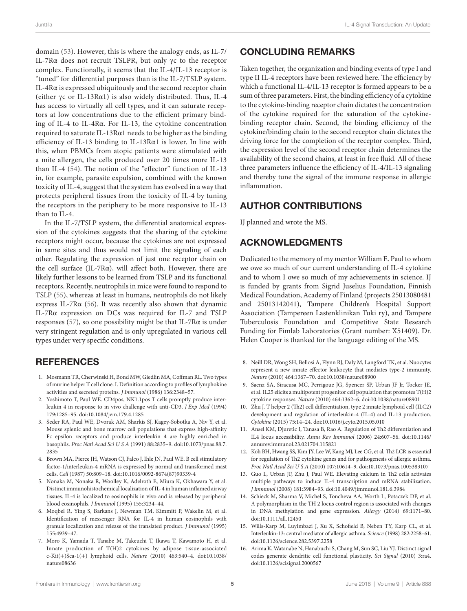domain ([53](#page-5-36)). However, this is where the analogy ends, as IL-7/ IL-7Rα does not recruit TSLPR, but only γc to the receptor complex. Functionally, it seems that the IL-4/IL-13 receptor is "tuned" for differential purposes than is the IL-7/TSLP system. IL-4Rα is expressed ubiquitously and the second receptor chain (either γc or IL-13Rα1) is also widely distributed. Thus, IL-4 has access to virtually all cell types, and it can saturate receptors at low concentrations due to the efficient primary binding of IL-4 to IL-4Rα. For IL-13, the cytokine concentration required to saturate IL-13Rα1 needs to be higher as the binding efficiency of IL-13 binding to IL-13Rα1 is lower. In line with this, when PBMCs from atopic patients were stimulated with a mite allergen, the cells produced over 20 times more IL-13 than IL-4 [\(54\)](#page-5-37). The notion of the "effector" function of IL-13 in, for example, parasite expulsion, combined with the known toxicity of IL-4, suggest that the system has evolved in a way that protects peripheral tissues from the toxicity of IL-4 by tuning the receptors in the periphery to be more responsive to IL-13 than to IL-4.

In the IL-7/TSLP system, the differential anatomical expression of the cytokines suggests that the sharing of the cytokine receptors might occur, because the cytokines are not expressed in same sites and thus would not limit the signaling of each other. Regulating the expression of just one receptor chain on the cell surface (IL-7R $\alpha$ ), will affect both. However, there are likely further lessons to be learned from TSLP and its functional receptors. Recently, neutrophils in mice were found to respond to TSLP ([55\)](#page-5-38), whereas at least in humans, neutrophils do not likely express IL-7R $\alpha$  [\(56](#page-5-39)). It was recently also shown that dynamic IL-7Rα expression on DCs was required for IL-7 and TSLP responses [\(57](#page-5-40)), so one possibility might be that IL-7R $\alpha$  is under very stringent regulation and is only upregulated in various cell types under very specific conditions.

### **REFERENCES**

- <span id="page-4-0"></span>1. Mosmann TR, Cherwinski H, Bond MW, Giedlin MA, Coffman RL. Two types of murine helper T cell clone. I. Definition according to profiles of lymphokine activities and secreted proteins. *J Immunol* (1986) 136:2348–57.
- 2. Yoshimoto T, Paul WE. CD4pos, NK1.1pos T cells promptly produce interleukin 4 in response to in vivo challenge with anti-CD3. *J Exp Med* (1994) 179:1285–95. doi[:10.1084/jem.179.4.1285](https://doi.org/10.1084/jem.179.4.1285)
- 3. Seder RA, Paul WE, Dvorak AM, Sharkis SJ, Kagey-Sobotka A, Niv Y, et al. Mouse splenic and bone marrow cell populations that express high-affinity Fc epsilon receptors and produce interleukin 4 are highly enriched in basophils. *Proc Natl Acad Sci U S A* (1991) 88:2835–9. doi[:10.1073/pnas.88.7.](https://doi.org/10.1073/pnas.88.7.
2835) [2835](https://doi.org/10.1073/pnas.88.7.
2835)
- 4. Brown MA, Pierce JH, Watson CJ, Falco J, Ihle JN, Paul WE. B cell stimulatory factor-1/interleukin-4 mRNA is expressed by normal and transformed mast cells. *Cell* (1987) 50:809–18. doi:[10.1016/0092-8674\(87\)90339-4](https://doi.org/10.1016/0092-8674(87)90339-4)
- 5. Nonaka M, Nonaka R, Woolley K, Adelroth E, Miura K, Okhawara Y, et al. Distinct immunohistochemical localization of IL-4 in human inflamed airway tissues. IL-4 is localized to eosinophils in vivo and is released by peripheral blood eosinophils. *J Immunol* (1995) 155:3234–44.
- 6. Moqbel R, Ying S, Barkans J, Newman TM, Kimmitt P, Wakelin M, et al. Identification of messenger RNA for IL-4 in human eosinophils with granule localization and release of the translated product. *J Immunol* (1995) 155:4939–47.
- 7. Moro K, Yamada T, Tanabe M, Takeuchi T, Ikawa T, Kawamoto H, et al. Innate production of T(H)2 cytokines by adipose tissue-associated c-Kit(+)Sca-1(+) lymphoid cells. *Nature* (2010) 463:540–4. doi[:10.1038/](https://doi.org/10.1038/
nature08636) [nature08636](https://doi.org/10.1038/
nature08636)

# CONCLUDING REMARKS

Taken together, the organization and binding events of type I and type II IL-4 receptors have been reviewed here. The efficiency by which a functional IL-4/IL-13 receptor is formed appears to be a sum of three parameters. First, the binding efficiency of a cytokine to the cytokine-binding receptor chain dictates the concentration of the cytokine required for the saturation of the cytokinebinding receptor chain. Second, the binding efficiency of the cytokine/binding chain to the second receptor chain dictates the driving force for the completion of the receptor complex. Third, the expression level of the second receptor chain determines the availability of the second chains, at least in free fluid. All of these three parameters influence the efficiency of IL-4/IL-13 signaling and thereby tune the signal of the immune response in allergic inflammation.

### AUTHOR CONTRIBUTIONS

IJ planned and wrote the MS.

### ACKNOWLEDGMENTS

Dedicated to the memory of my mentor William E. Paul to whom we owe so much of our current understanding of IL-4 cytokine and to whom I owe so much of my achievements in science. IJ is funded by grants from Sigrid Juselius Foundation, Finnish Medical Foundation, Academy of Finland (projects 25013080481 and 25013142041), Tampere Children's Hospital Support Association (Tampereen Lastenklinikan Tuki ry), and Tampere Tuberculosis Foundation and Competitive State Research Funding for Fimlab Laboratories (Grant number: X51409). Dr. Helen Cooper is thanked for the language editing of the MS.

- 8. Neill DR, Wong SH, Bellosi A, Flynn RJ, Daly M, Langford TK, et al. Nuocytes represent a new innate effector leukocyte that mediates type-2 immunity. *Nature* (2010) 464:1367–70. doi[:10.1038/nature08900](https://doi.org/10.1038/nature08900)
- <span id="page-4-1"></span>9. Saenz SA, Siracusa MC, Perrigoue JG, Spencer SP, Urban JF Jr, Tocker JE, et al. IL25 elicits a multipotent progenitor cell population that promotes T(H)2 cytokine responses. *Nature* (2010) 464:1362–6. doi:[10.1038/nature08901](https://doi.org/10.1038/nature08901)
- <span id="page-4-2"></span>10. Zhu J. T helper 2 (Th2) cell differentiation, type 2 innate lymphoid cell (ILC2) development and regulation of interleukin-4 (IL-4) and IL-13 production. *Cytokine* (2015) 75:14–24. doi[:10.1016/j.cyto.2015.05.010](https://doi.org/10.1016/j.cyto.2015.05.010)
- <span id="page-4-3"></span>11. Ansel KM, Djuretic I, Tanasa B, Rao A. Regulation of Th2 differentiation and IL4 locus accessibility. *Annu Rev Immunol* (2006) 24:607–56. doi[:10.1146/](https://doi.org/10.1146/annurev.immunol.23.021704.115821) [annurev.immunol.23.021704.115821](https://doi.org/10.1146/annurev.immunol.23.021704.115821)
- <span id="page-4-4"></span>12. Koh BH, Hwang SS, Kim JY, Lee W, Kang MJ, Lee CG, et al. Th2 LCR is essential for regulation of Th2 cytokine genes and for pathogenesis of allergic asthma. *Proc Natl Acad Sci U S A* (2010) 107:10614–9. doi[:10.1073/pnas.1005383107](https://doi.org/10.1073/pnas.1005383107)
- <span id="page-4-5"></span>13. Guo L, Urban JF, Zhu J, Paul WE. Elevating calcium in Th2 cells activates multiple pathways to induce IL-4 transcription and mRNA stabilization. *J Immunol* (2008) 181:3984–93. doi[:10.4049/jimmunol.181.6.3984](https://doi.org/10.4049/jimmunol.181.6.3984)
- <span id="page-4-6"></span>14. Schieck M, Sharma V, Michel S, Toncheva AA, Worth L, Potaczek DP, et al. A polymorphism in the TH 2 locus control region is associated with changes in DNA methylation and gene expression. *Allergy* (2014) 69:1171–80. doi:[10.1111/all.12450](https://doi.org/10.1111/all.12450)
- <span id="page-4-7"></span>15. Wills-Karp M, Luyimbazi J, Xu X, Schofield B, Neben TY, Karp CL, et al. Interleukin-13: central mediator of allergic asthma. *Science* (1998) 282:2258–61. doi:[10.1126/science.282.5397.2258](https://doi.org/10.1126/science.282.5397.2258)
- <span id="page-4-8"></span>16. Arima K, Watanabe N, Hanabuchi S, Chang M, Sun SC, Liu YJ. Distinct signal codes generate dendritic cell functional plasticity. *Sci Signal* (2010) 3:ra4. doi:[10.1126/scisignal.2000567](https://doi.org/10.1126/scisignal.2000567)